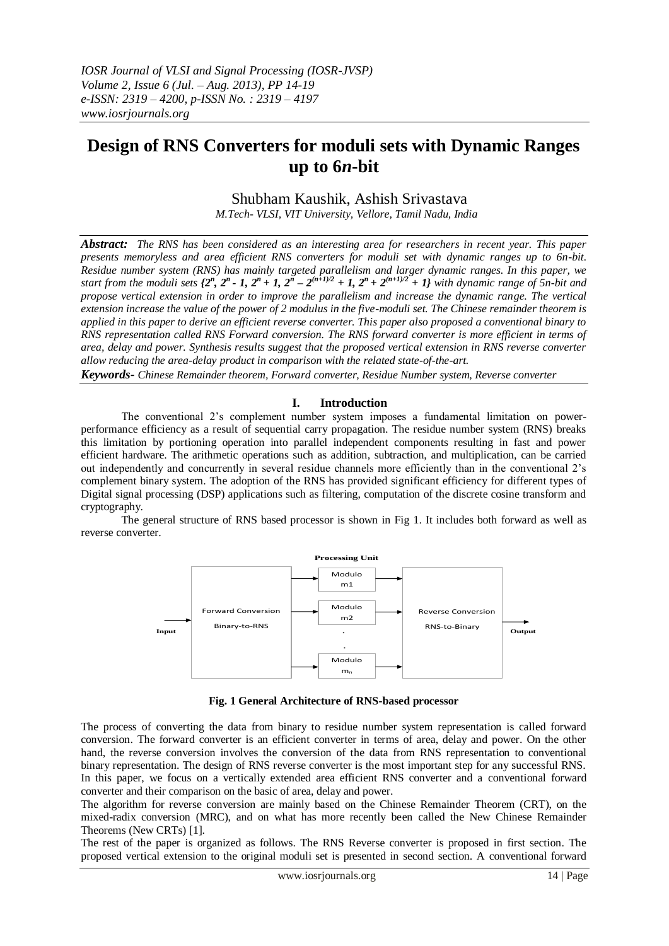# **Design of RNS Converters for moduli sets with Dynamic Ranges up to 6***n***-bit**

Shubham Kaushik, Ashish Srivastava

 *M.Tech- VLSI, VIT University, Vellore, Tamil Nadu, India*

*Abstract: The RNS has been considered as an interesting area for researchers in recent year. This paper presents memoryless and area efficient RNS converters for moduli set with dynamic ranges up to 6n-bit. Residue number system (RNS) has mainly targeted parallelism and larger dynamic ranges. In this paper, we*  start from the moduli sets  $\{2^n, 2^n - 1, 2^n + 1, 2^n - 2^{(n+1)/2} + 1, 2^n + 2^{(n+1)/2} + 1\}$  with dynamic range of 5n-bit and *propose vertical extension in order to improve the parallelism and increase the dynamic range. The vertical extension increase the value of the power of 2 modulus in the five-moduli set. The Chinese remainder theorem is applied in this paper to derive an efficient reverse converter. This paper also proposed a conventional binary to RNS representation called RNS Forward conversion. The RNS forward converter is more efficient in terms of area, delay and power. Synthesis results suggest that the proposed vertical extension in RNS reverse converter allow reducing the area-delay product in comparison with the related state-of-the-art.*

*Keywords- Chinese Remainder theorem, Forward converter, Residue Number system, Reverse converter*

# **I. Introduction**

The conventional 2"s complement number system imposes a fundamental limitation on powerperformance efficiency as a result of sequential carry propagation. The residue number system (RNS) breaks this limitation by portioning operation into parallel independent components resulting in fast and power efficient hardware. The arithmetic operations such as addition, subtraction, and multiplication, can be carried out independently and concurrently in several residue channels more efficiently than in the conventional 2"s complement binary system. The adoption of the RNS has provided significant efficiency for different types of Digital signal processing (DSP) applications such as filtering, computation of the discrete cosine transform and cryptography.

The general structure of RNS based processor is shown in Fig 1. It includes both forward as well as reverse converter.



Fig. 1 General Architecture of RNS-based processor

The process of converting the data from binary to residue number system representation is called forward conversion. The forward converter is an efficient converter in terms of area, delay and power. On the other hand, the reverse conversion involves the conversion of the data from RNS representation to conventional binary representation. The design of RNS reverse converter is the most important step for any successful RNS. In this paper, we focus on a vertically extended area efficient RNS converter and a conventional forward converter and their comparison on the basic of area, delay and power.

The algorithm for reverse conversion are mainly based on the Chinese Remainder Theorem (CRT), on the mixed-radix conversion (MRC), and on what has more recently been called the New Chinese Remainder Theorems (New CRTs) [1].

The rest of the paper is organized as follows. The RNS Reverse converter is proposed in first section. The proposed vertical extension to the original moduli set is presented in second section. A conventional forward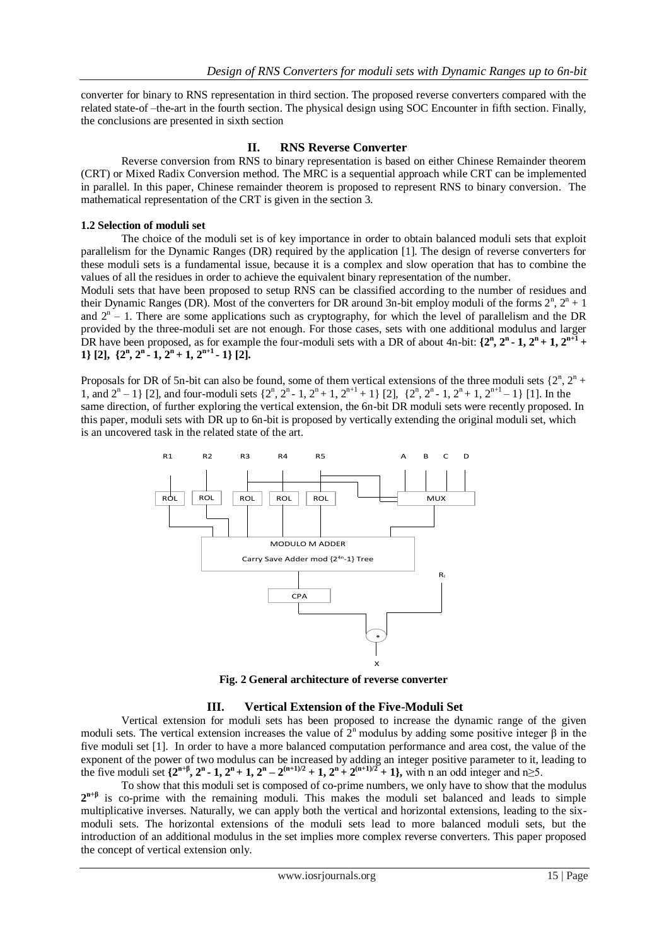converter for binary to RNS representation in third section. The proposed reverse converters compared with the related state-of –the-art in the fourth section. The physical design using SOC Encounter in fifth section. Finally, the conclusions are presented in sixth section

# **II. RNS Reverse Converter**

Reverse conversion from RNS to binary representation is based on either Chinese Remainder theorem (CRT) or Mixed Radix Conversion method. The MRC is a sequential approach while CRT can be implemented in parallel. In this paper, Chinese remainder theorem is proposed to represent RNS to binary conversion. The mathematical representation of the CRT is given in the section 3.

## **1.2 Selection of moduli set**

The choice of the moduli set is of key importance in order to obtain balanced moduli sets that exploit parallelism for the Dynamic Ranges (DR) required by the application [1]. The design of reverse converters for these moduli sets is a fundamental issue, because it is a complex and slow operation that has to combine the values of all the residues in order to achieve the equivalent binary representation of the number.

Moduli sets that have been proposed to setup RNS can be classified according to the number of residues and their Dynamic Ranges (DR). Most of the converters for DR around 3n-bit employ moduli of the forms  $2^n$ ,  $2^n + 1$ and  $2<sup>n</sup> - 1$ . There are some applications such as cryptography, for which the level of parallelism and the DR provided by the three-moduli set are not enough. For those cases, sets with one additional modulus and larger DR have been proposed, as for example the four-moduli sets with a DR of about 4n-bit:  $\{2^n, 2^n - 1, 2^n + 1, 2^{n+1} + \cdots\}$ 1} [2],  $\{2^n, 2^n-1, 2^n+1, 2^{n+1}-1\}$  [2].

Proposals for DR of 5n-bit can also be found, some of them vertical extensions of the three moduli sets  $\{2^n, 2^n +$ 1, and  $2^{n} - 1$  [2], and four-moduli sets  $\{2^{n}, 2^{n} - 1, 2^{n} + 1, 2^{n+1} + 1\}$  [2],  $\{2^{n}, 2^{n} - 1, 2^{n} + 1, 2^{n+1} - 1\}$  [1]. In the same direction, of further exploring the vertical extension, the 6n-bit DR moduli sets were recently proposed. In this paper, moduli sets with DR up to 6n-bit is proposed by vertically extending the original moduli set, which is an uncovered task in the related state of the art.



**Fig. 2 General architecture of reverse converter** 

## **III. Vertical Extension of the Five-Moduli Set**

Vertical extension for moduli sets has been proposed to increase the dynamic range of the given moduli sets. The vertical extension increases the value of  $2<sup>n</sup>$  modulus by adding some positive integer β in the five moduli set [1]. In order to have a more balanced computation performance and area cost, the value of the exponent of the power of two modulus can be increased by adding an integer positive parameter to it, leading to the five moduli set  $\{2^{n+\beta}, 2^n-1, 2^n+1, 2^n-2^{(n+1)/2}+1, 2^n+2^{(n+1)/2}+1\}$ , with n an odd integer and  $n\geq 5$ .

To show that this moduli set is composed of co-prime numbers, we only have to show that the modulus 2<sup>n+β</sup> is co-prime with the remaining moduli. This makes the moduli set balanced and leads to simple multiplicative inverses. Naturally, we can apply both the vertical and horizontal extensions, leading to the sixmoduli sets. The horizontal extensions of the moduli sets lead to more balanced moduli sets, but the introduction of an additional modulus in the set implies more complex reverse converters. This paper proposed the concept of vertical extension only.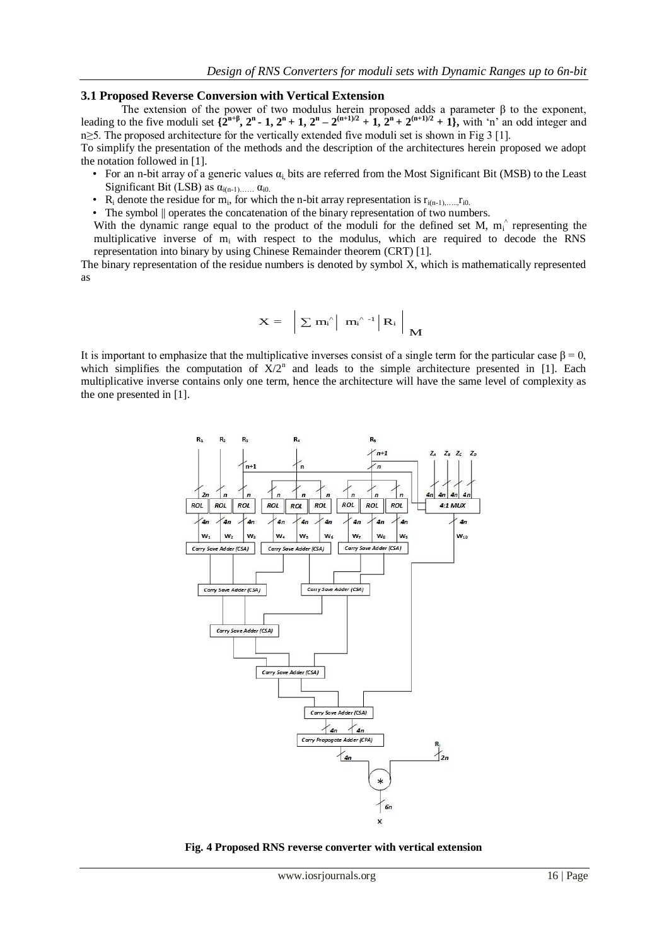## **3.1 Proposed Reverse Conversion with Vertical Extension**

The extension of the power of two modulus herein proposed adds a parameter  $\beta$  to the exponent, leading to the five moduli set  $\{2^{n+\beta}, 2^n-1, 2^n+1, 2^n-2^{(n+1)/2}+1, 2^n+2^{(n+1)/2}+1\}$ , with 'n' an odd integer and n≥5. The proposed architecture for the vertically extended five moduli set is shown in Fig 3 [1].

To simplify the presentation of the methods and the description of the architectures herein proposed we adopt the notation followed in [1].

- For an n-bit array of a generic values  $\alpha_i$  bits are referred from the Most Significant Bit (MSB) to the Least Significant Bit (LSB) as  $\alpha_{i(n-1), \ldots, n} \alpha_{i0}$ .
- R<sub>i</sub> denote the residue for m<sub>i</sub>, for which the n-bit array representation is  $r_{i(n-1), \ldots, n}$  i<sub>0</sub>.

• The symbol  $\parallel$  operates the concatenation of the binary representation of two numbers.

With the dynamic range equal to the product of the moduli for the defined set M,  $m_i^{\hat{}}$  representing the multiplicative inverse of m<sub>i</sub> with respect to the modulus, which are required to decode the RNS representation into binary by using Chinese Remainder theorem (CRT) [1].

The binary representation of the residue numbers is denoted by symbol X, which is mathematically represented as

$$
X = \left. \left. \left. \left| \ \Sigma \ m_i^{^{\wedge}} \right| \ m_i^{^{\wedge} -1} \right| R_i \ \right| \ M
$$

It is important to emphasize that the multiplicative inverses consist of a single term for the particular case  $\beta = 0$ , which simplifies the computation of  $X/2^n$  and leads to the simple architecture presented in [1]. Each multiplicative inverse contains only one term, hence the architecture will have the same level of complexity as the one presented in [1].



**Fig. 4 Proposed RNS reverse converter with vertical extension**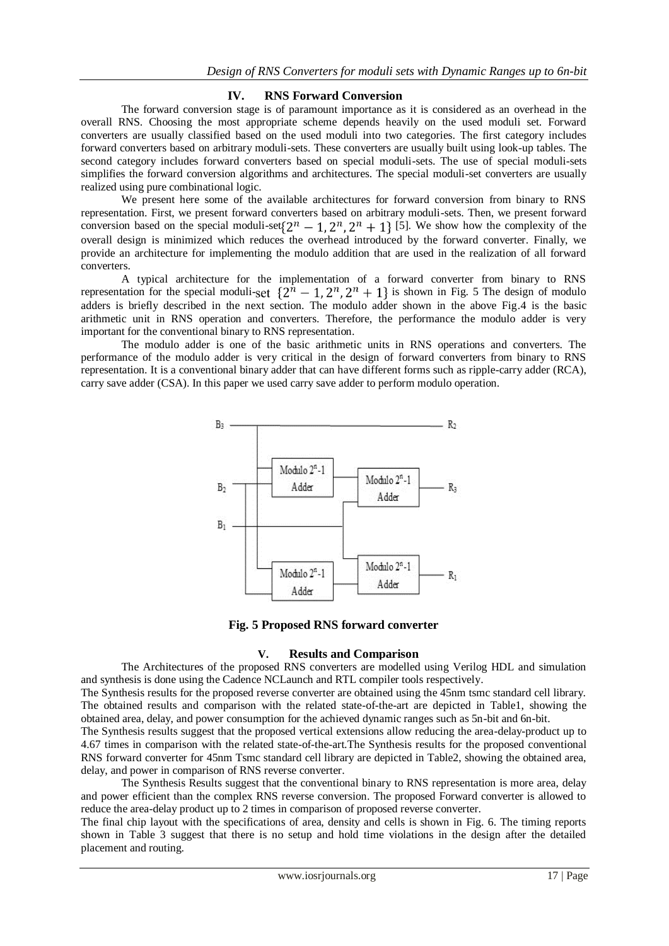# **IV. RNS Forward Conversion**

The forward conversion stage is of paramount importance as it is considered as an overhead in the overall RNS. Choosing the most appropriate scheme depends heavily on the used moduli set. Forward converters are usually classified based on the used moduli into two categories. The first category includes forward converters based on arbitrary moduli-sets. These converters are usually built using look-up tables. The second category includes forward converters based on special moduli-sets. The use of special moduli-sets simplifies the forward conversion algorithms and architectures. The special moduli-set converters are usually realized using pure combinational logic.

We present here some of the available architectures for forward conversion from binary to RNS representation. First, we present forward converters based on arbitrary moduli-sets. Then, we present forward conversion based on the special moduli-set  $\{2^n - 1, 2^n, 2^n + 1\}$  [5]. We show how the complexity of the overall design is minimized which reduces the overhead introduced by the forward converter. Finally, we provide an architecture for implementing the modulo addition that are used in the realization of all forward converters.

A typical architecture for the implementation of a forward converter from binary to RNS representation for the special moduli-set  $\{2^{n} - 1, 2^{n}, 2^{n} + 1\}$  is shown in Fig. 5 The design of modulo adders is briefly described in the next section. The modulo adder shown in the above Fig.4 is the basic arithmetic unit in RNS operation and converters. Therefore, the performance the modulo adder is very important for the conventional binary to RNS representation.

The modulo adder is one of the basic arithmetic units in RNS operations and converters. The performance of the modulo adder is very critical in the design of forward converters from binary to RNS representation. It is a conventional binary adder that can have different forms such as ripple-carry adder (RCA), carry save adder (CSA). In this paper we used carry save adder to perform modulo operation.



**Fig. 5 Proposed RNS forward converter**

## **V. Results and Comparison**

The Architectures of the proposed RNS converters are modelled using Verilog HDL and simulation and synthesis is done using the Cadence NCLaunch and RTL compiler tools respectively.

The Synthesis results for the proposed reverse converter are obtained using the 45nm tsmc standard cell library. The obtained results and comparison with the related state-of-the-art are depicted in Table1, showing the obtained area, delay, and power consumption for the achieved dynamic ranges such as 5n-bit and 6n-bit.

The Synthesis results suggest that the proposed vertical extensions allow reducing the area-delay-product up to 4.67 times in comparison with the related state-of-the-art.The Synthesis results for the proposed conventional RNS forward converter for 45nm Tsmc standard cell library are depicted in Table2, showing the obtained area, delay, and power in comparison of RNS reverse converter.

The Synthesis Results suggest that the conventional binary to RNS representation is more area, delay and power efficient than the complex RNS reverse conversion. The proposed Forward converter is allowed to reduce the area-delay product up to 2 times in comparison of proposed reverse converter.

The final chip layout with the specifications of area, density and cells is shown in Fig. 6. The timing reports shown in Table 3 suggest that there is no setup and hold time violations in the design after the detailed placement and routing.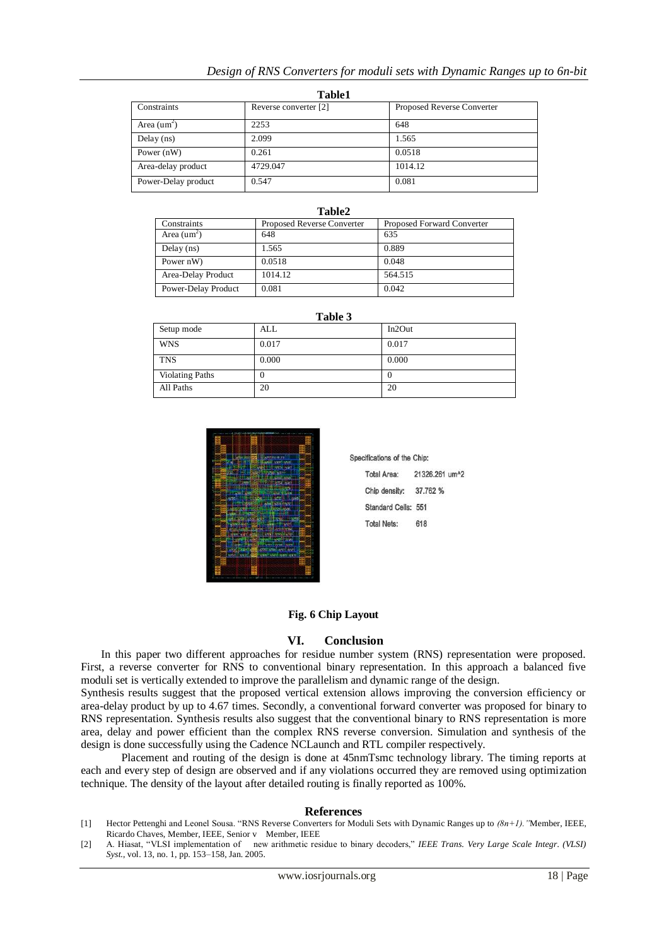# *Design of RNS Converters for moduli sets with Dynamic Ranges up to 6n-bit*

| <b>Table1</b>        |                       |                            |  |  |
|----------------------|-----------------------|----------------------------|--|--|
| Constraints          | Reverse converter [2] | Proposed Reverse Converter |  |  |
| Area $(\text{um}^2)$ | 2253                  | 648                        |  |  |
| Delay $(ns)$         | 2.099                 | 1.565                      |  |  |
| Power $(nW)$         | 0.261                 | 0.0518                     |  |  |
| Area-delay product   | 4729.047              | 1014.12                    |  |  |
| Power-Delay product  | 0.547                 | 0.081                      |  |  |

|                      | Table2                     |                            |
|----------------------|----------------------------|----------------------------|
| Constraints          | Proposed Reverse Converter | Proposed Forward Converter |
| Area $(\text{um}^2)$ | 648                        | 635                        |
| Delay $(ns)$         | 1.565                      | 0.889                      |
| Power nW)            | 0.0518                     | 0.048                      |
| Area-Delay Product   | 1014.12                    | 564.515                    |
| Power-Delay Product  | 0.081                      | 0.042                      |

**Table 3**

| Setup mode             | ALL   | In2Out |
|------------------------|-------|--------|
| <b>WNS</b>             | 0.017 | 0.017  |
| <b>TNS</b>             | 0.000 | 0.000  |
| <b>Violating Paths</b> | υ     | U      |
| All Paths              | 20    | 20     |

Sp



| <b>JUINGUURO UL UIG URIU.</b> |                            |
|-------------------------------|----------------------------|
| <b>Total Area:</b>            | 21326.261 um <sup>^2</sup> |
| Chip density:                 | 37,762 %                   |
| Standard Cells: 551           |                            |
| <b>Total Nets:</b>            | 618                        |
|                               |                            |

ifications of the Chini

# **Fig. 6 Chip Layout**

## **VI. Conclusion**

In this paper two different approaches for residue number system (RNS) representation were proposed. First, a reverse converter for RNS to conventional binary representation. In this approach a balanced five moduli set is vertically extended to improve the parallelism and dynamic range of the design.

Synthesis results suggest that the proposed vertical extension allows improving the conversion efficiency or area-delay product by up to 4.67 times. Secondly, a conventional forward converter was proposed for binary to RNS representation. Synthesis results also suggest that the conventional binary to RNS representation is more area, delay and power efficient than the complex RNS reverse conversion. Simulation and synthesis of the design is done successfully using the Cadence NCLaunch and RTL compiler respectively.

Placement and routing of the design is done at 45nmTsmc technology library. The timing reports at each and every step of design are observed and if any violations occurred they are removed using optimization technique. The density of the layout after detailed routing is finally reported as 100%.

#### **References**

- [1] Hector Pettenghi and Leonel Sousa. "RNS Reverse Converters for Moduli Sets with Dynamic Ranges up to *(8n+1)."*Member, IEEE, Ricardo Chaves, Member, IEEE, Senior v Member, IEEE
- [2] A. Hiasat, "VLSI implementation of new arithmetic residue to binary decoders," *IEEE Trans. Very Large Scale Integr. (VLSI) Syst.*, vol. 13, no. 1, pp. 153–158, Jan. 2005.